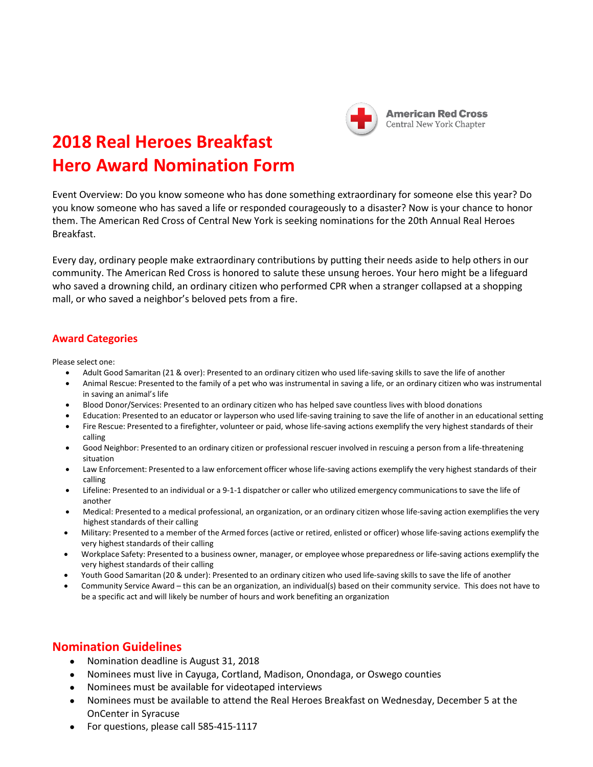

## **2018 Real Heroes Breakfast Hero Award Nomination Form**

Event Overview: Do you know someone who has done something extraordinary for someone else this year? Do you know someone who has saved a life or responded courageously to a disaster? Now is your chance to honor them. The American Red Cross of Central New York is seeking nominations for the 20th Annual Real Heroes Breakfast.

Every day, ordinary people make extraordinary contributions by putting their needs aside to help others in our community. The American Red Cross is honored to salute these unsung heroes. Your hero might be a lifeguard who saved a drowning child, an ordinary citizen who performed CPR when a stranger collapsed at a shopping mall, or who saved a neighbor's beloved pets from a fire.

## **Award Categories**

Please select one:

- Adult Good Samaritan (21 & over): Presented to an ordinary citizen who used life-saving skills to save the life of another
- Animal Rescue: Presented to the family of a pet who was instrumental in saving a life, or an ordinary citizen who was instrumental in saving an animal's life
- Blood Donor/Services: Presented to an ordinary citizen who has helped save countless lives with blood donations
- Education: Presented to an educator or layperson who used life-saving training to save the life of another in an educational setting
- Fire Rescue: Presented to a firefighter, volunteer or paid, whose life-saving actions exemplify the very highest standards of their calling
- Good Neighbor: Presented to an ordinary citizen or professional rescuer involved in rescuing a person from a life-threatening situation
- Law Enforcement: Presented to a law enforcement officer whose life-saving actions exemplify the very highest standards of their calling
- Lifeline: Presented to an individual or a 9-1-1 dispatcher or caller who utilized emergency communicationsto save the life of another
- Medical: Presented to a medical professional, an organization, or an ordinary citizen whose life-saving action exemplifies the very highest standards of their calling
- Military: Presented to a member of the Armed forces (active or retired, enlisted or officer) whose life-saving actions exemplify the very highest standards of their calling
- Workplace Safety: Presented to a business owner, manager, or employee whose preparedness or life-saving actions exemplify the very highest standards of their calling
- Youth Good Samaritan (20 & under): Presented to an ordinary citizen who used life-saving skills to save the life of another
- Community Service Award this can be an organization, an individual(s) based on their community service. This does not have to be a specific act and will likely be number of hours and work benefiting an organization

## **Nomination Guidelines**

- Nomination deadline is August 31, 2018
- Nominees must live in Cayuga, Cortland, Madison, Onondaga, or Oswego counties
- Nominees must be available for videotaped interviews
- Nominees must be available to attend the Real Heroes Breakfast on Wednesday, December 5 at the OnCenter in Syracuse
- For questions, please call 585-415-1117